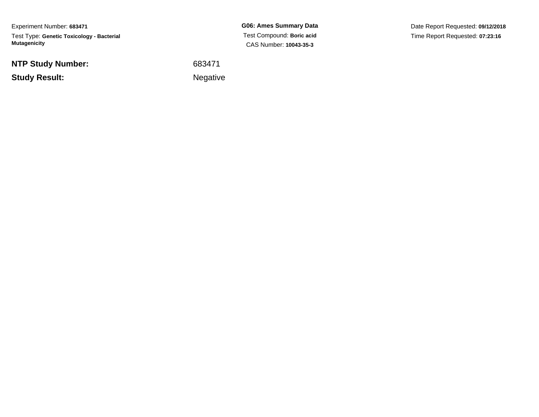Experiment Number: **683471**Test Type: **Genetic Toxicology - Bacterial Mutagenicity**

**NTP Study Number:**

**Study Result:**

**G06: Ames Summary Data** Test Compound: **Boric acid**CAS Number: **10043-35-3**

Date Report Requested: **09/12/2018**Time Report Requested: **07:23:16**

 <sup>683471</sup>**Example 2** is a set of the set of the Negative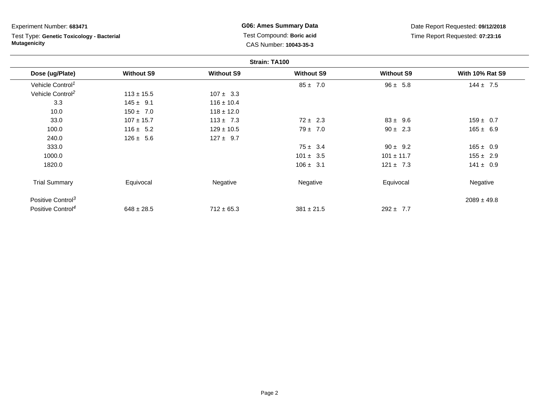Test Type: **Genetic Toxicology - Bacterial Mutagenicity**

**G06: Ames Summary Data** Test Compound: **Boric acid**CAS Number: **10043-35-3**

|                               |                   |                   | Strain: TA100     |                   |                        |
|-------------------------------|-------------------|-------------------|-------------------|-------------------|------------------------|
| Dose (ug/Plate)               | <b>Without S9</b> | <b>Without S9</b> | <b>Without S9</b> | <b>Without S9</b> | <b>With 10% Rat S9</b> |
| Vehicle Control <sup>1</sup>  |                   |                   | $85 \pm 7.0$      | $96 \pm 5.8$      | $144 \pm 7.5$          |
| Vehicle Control <sup>2</sup>  | $113 \pm 15.5$    | $107 \pm 3.3$     |                   |                   |                        |
| 3.3                           | $145 \pm 9.1$     | $116 \pm 10.4$    |                   |                   |                        |
| 10.0                          | $150 \pm 7.0$     | $118 \pm 12.0$    |                   |                   |                        |
| 33.0                          | $107 \pm 15.7$    | $113 \pm 7.3$     | $72 \pm 2.3$      | $83 \pm 9.6$      | $159 \pm 0.7$          |
| 100.0                         | $116 \pm 5.2$     | $129 \pm 10.5$    | $79 \pm 7.0$      | $90 \pm 2.3$      | $165 \pm 6.9$          |
| 240.0                         | $126 \pm 5.6$     | $127 \pm 9.7$     |                   |                   |                        |
| 333.0                         |                   |                   | $75 \pm 3.4$      | $90 \pm 9.2$      | $165 \pm 0.9$          |
| 1000.0                        |                   |                   | $101 \pm 3.5$     | $101 \pm 11.7$    | $155 \pm 2.9$          |
| 1820.0                        |                   |                   | $106 \pm 3.1$     | $121 \pm 7.3$     | $141 \pm 0.9$          |
| <b>Trial Summary</b>          | Equivocal         | Negative          | Negative          | Equivocal         | Negative               |
| Positive Control <sup>3</sup> |                   |                   |                   |                   | $2089 \pm 49.8$        |
| Positive Control <sup>4</sup> | $648 \pm 28.5$    | $712 \pm 65.3$    | $381 \pm 21.5$    | $292 \pm 7.7$     |                        |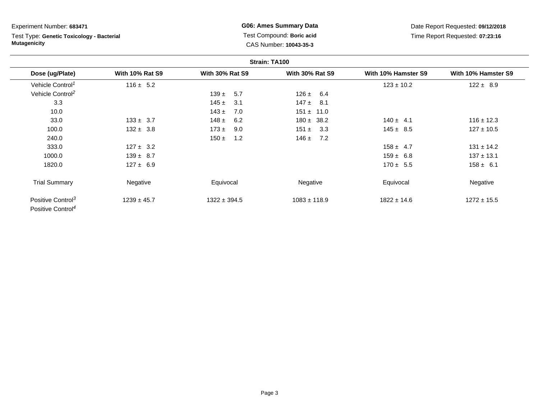# Test Type: **Genetic Toxicology - Bacterial Mutagenicity**

**G06: Ames Summary Data** Test Compound: **Boric acid**CAS Number: **10043-35-3**

|                                                                |                        |                        | Strain: TA100          |                     |                     |
|----------------------------------------------------------------|------------------------|------------------------|------------------------|---------------------|---------------------|
| Dose (ug/Plate)                                                | <b>With 10% Rat S9</b> | <b>With 30% Rat S9</b> | <b>With 30% Rat S9</b> | With 10% Hamster S9 | With 10% Hamster S9 |
| Vehicle Control <sup>1</sup>                                   | $116 \pm 5.2$          |                        |                        | $123 \pm 10.2$      | $122 \pm 8.9$       |
| Vehicle Control <sup>2</sup>                                   |                        | $139 \pm 5.7$          | $126 \pm 6.4$          |                     |                     |
| 3.3                                                            |                        | 145 $\pm$<br>3.1       | $147 \pm 8.1$          |                     |                     |
| 10.0                                                           |                        | $143 \pm$<br>7.0       | $151 \pm 11.0$         |                     |                     |
| 33.0                                                           | $133 \pm 3.7$          | 148 $\pm$<br>6.2       | $180 \pm 38.2$         | $140 \pm 4.1$       | $116 \pm 12.3$      |
| 100.0                                                          | $132 \pm 3.8$          | $173 \pm$<br>9.0       | $151 \pm 3.3$          | $145 \pm 8.5$       | $127 \pm 10.5$      |
| 240.0                                                          |                        | 1.2<br>150 $\pm$       | 7.2<br>146 $\pm$       |                     |                     |
| 333.0                                                          | $127 \pm 3.2$          |                        |                        | $158 \pm 4.7$       | $131 \pm 14.2$      |
| 1000.0                                                         | $139 \pm 8.7$          |                        |                        | $159 \pm 6.8$       | $137 \pm 13.1$      |
| 1820.0                                                         | $127 \pm 6.9$          |                        |                        | $170 \pm 5.5$       | $158 \pm 6.1$       |
| <b>Trial Summary</b>                                           | Negative               | Equivocal              | Negative               | Equivocal           | Negative            |
| Positive Control <sup>3</sup><br>Positive Control <sup>4</sup> | $1239 \pm 45.7$        | $1322 \pm 394.5$       | $1083 \pm 118.9$       | $1822 \pm 14.6$     | $1272 \pm 15.5$     |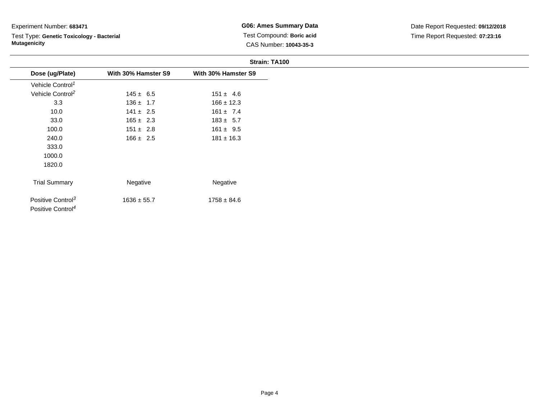Test Type: **Genetic Toxicology - Bacterial Mutagenicity**

**G06: Ames Summary Data** Test Compound: **Boric acid**CAS Number: **10043-35-3**

|                                                                |                     | Strain: TA100       |
|----------------------------------------------------------------|---------------------|---------------------|
| Dose (ug/Plate)                                                | With 30% Hamster S9 | With 30% Hamster S9 |
| Vehicle Control <sup>1</sup>                                   |                     |                     |
| Vehicle Control <sup>2</sup>                                   | $145 \pm 6.5$       | $151 \pm 4.6$       |
| 3.3                                                            | $136 \pm 1.7$       | $166 \pm 12.3$      |
| 10.0                                                           | $141 \pm 2.5$       | $161 \pm 7.4$       |
| 33.0                                                           | $165 \pm 2.3$       | $183 \pm 5.7$       |
| 100.0                                                          | $151 \pm 2.8$       | $161 \pm 9.5$       |
| 240.0                                                          | $166 \pm 2.5$       | $181 \pm 16.3$      |
| 333.0                                                          |                     |                     |
| 1000.0                                                         |                     |                     |
| 1820.0                                                         |                     |                     |
| <b>Trial Summary</b>                                           | Negative            | Negative            |
| Positive Control <sup>3</sup><br>Positive Control <sup>4</sup> | $1636 \pm 55.7$     | $1758 \pm 84.6$     |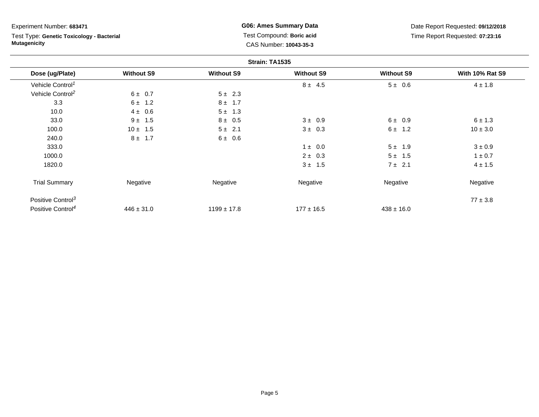Test Type: **Genetic Toxicology - Bacterial Mutagenicity**

**G06: Ames Summary Data** Test Compound: **Boric acid**CAS Number: **10043-35-3**

|                               |                   |                   | Strain: TA1535    |                   |                        |
|-------------------------------|-------------------|-------------------|-------------------|-------------------|------------------------|
| Dose (ug/Plate)               | <b>Without S9</b> | <b>Without S9</b> | <b>Without S9</b> | <b>Without S9</b> | <b>With 10% Rat S9</b> |
| Vehicle Control <sup>1</sup>  |                   |                   | $8 \pm 4.5$       | $5 \pm 0.6$       | $4 \pm 1.8$            |
| Vehicle Control <sup>2</sup>  | $6 \pm 0.7$       | $5 \pm 2.3$       |                   |                   |                        |
| 3.3                           | $6 \pm 1.2$       | $8 \pm 1.7$       |                   |                   |                        |
| 10.0                          | $4 \pm 0.6$       | $5 \pm 1.3$       |                   |                   |                        |
| 33.0                          | $9 \pm 1.5$       | $8 \pm 0.5$       | $3 \pm 0.9$       | $6 \pm 0.9$       | $6 \pm 1.3$            |
| 100.0                         | $10 \pm 1.5$      | $5 \pm 2.1$       | $3 \pm 0.3$       | $6 \pm 1.2$       | $10 \pm 3.0$           |
| 240.0                         | $8 \pm 1.7$       | 6 ± 0.6           |                   |                   |                        |
| 333.0                         |                   |                   | $1 \pm 0.0$       | $5 \pm 1.9$       | $3 \pm 0.9$            |
| 1000.0                        |                   |                   | $2 \pm 0.3$       | $5 \pm 1.5$       | $1 \pm 0.7$            |
| 1820.0                        |                   |                   | $3 \pm 1.5$       | $7 \pm 2.1$       | $4 \pm 1.5$            |
| <b>Trial Summary</b>          | Negative          | Negative          | Negative          | Negative          | Negative               |
| Positive Control <sup>3</sup> |                   |                   |                   |                   | $77 \pm 3.8$           |
| Positive Control <sup>4</sup> | $446 \pm 31.0$    | $1199 \pm 17.8$   | $177 \pm 16.5$    | $438 \pm 16.0$    |                        |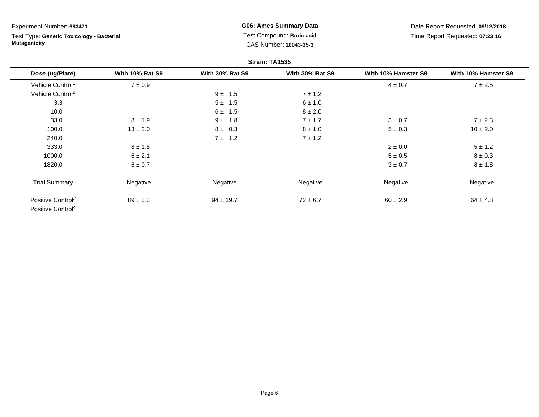# Test Type: **Genetic Toxicology - Bacterial Mutagenicity**

**G06: Ames Summary Data** Test Compound: **Boric acid**CAS Number: **10043-35-3**

|                                                                |                        |                        | Strain: TA1535         |                     |                     |
|----------------------------------------------------------------|------------------------|------------------------|------------------------|---------------------|---------------------|
| Dose (ug/Plate)                                                | <b>With 10% Rat S9</b> | <b>With 30% Rat S9</b> | <b>With 30% Rat S9</b> | With 10% Hamster S9 | With 10% Hamster S9 |
| Vehicle Control <sup>1</sup>                                   | $7\pm0.9$              |                        |                        | $4 \pm 0.7$         | 7 ± 2.5             |
| Vehicle Control <sup>2</sup>                                   |                        | $9 \pm 1.5$            | $7 \pm 1.2$            |                     |                     |
| 3.3                                                            |                        | $5 \pm 1.5$            | $6 \pm 1.0$            |                     |                     |
| 10.0                                                           |                        | $6 \pm 1.5$            | $8 \pm 2.0$            |                     |                     |
| 33.0                                                           | $8 \pm 1.9$            | $9 \pm 1.8$            | $7 \pm 1.7$            | $3 \pm 0.7$         | $7 \pm 2.3$         |
| 100.0                                                          | $13 \pm 2.0$           | $8 \pm 0.3$            | $8 \pm 1.0$            | $5 \pm 0.3$         | $10 \pm 2.0$        |
| 240.0                                                          |                        | 7 ± 1.2                | $7 \pm 1.2$            |                     |                     |
| 333.0                                                          | $8 \pm 1.8$            |                        |                        | $2 \pm 0.0$         | $5 \pm 1.2$         |
| 1000.0                                                         | $6 \pm 2.1$            |                        |                        | $5 \pm 0.5$         | $8 \pm 0.3$         |
| 1820.0                                                         | 6 ± 0.7                |                        |                        | $3 \pm 0.7$         | $8 \pm 1.8$         |
| <b>Trial Summary</b>                                           | Negative               | Negative               | Negative               | Negative            | Negative            |
| Positive Control <sup>3</sup><br>Positive Control <sup>4</sup> | $89 \pm 3.3$           | $94 \pm 19.7$          | $72 \pm 6.7$           | $60 \pm 2.9$        | $64 \pm 4.8$        |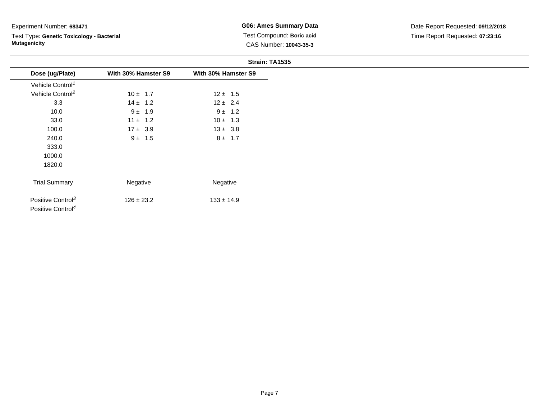Test Type: **Genetic Toxicology - Bacterial Mutagenicity**

**G06: Ames Summary Data** Test Compound: **Boric acid**CAS Number: **10043-35-3**

|                                                                |                     | Strain: TA1535      |
|----------------------------------------------------------------|---------------------|---------------------|
| Dose (ug/Plate)                                                | With 30% Hamster S9 | With 30% Hamster S9 |
| Vehicle Control <sup>1</sup>                                   |                     |                     |
| Vehicle Control <sup>2</sup>                                   | $10 \pm 1.7$        | $12 \pm 1.5$        |
| 3.3                                                            | $14 \pm 1.2$        | $12 \pm 2.4$        |
| 10.0                                                           | $9 \pm 1.9$         | $9 \pm 1.2$         |
| 33.0                                                           | $11 \pm 1.2$        | $10 \pm 1.3$        |
| 100.0                                                          | $17 \pm 3.9$        | $13 \pm 3.8$        |
| 240.0                                                          | $9 \pm 1.5$         | $8 \pm 1.7$         |
| 333.0                                                          |                     |                     |
| 1000.0                                                         |                     |                     |
| 1820.0                                                         |                     |                     |
| <b>Trial Summary</b>                                           | Negative            | Negative            |
| Positive Control <sup>3</sup><br>Positive Control <sup>4</sup> | $126 \pm 23.2$      | $133 \pm 14.9$      |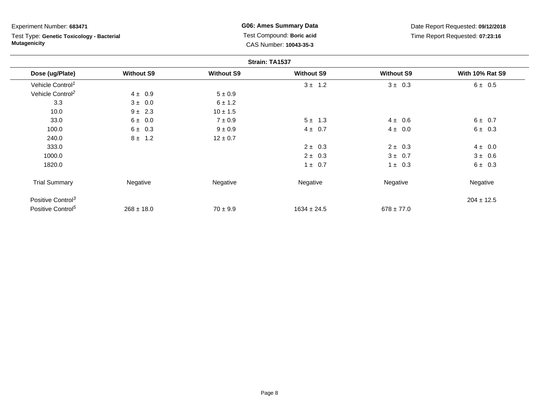Test Type: **Genetic Toxicology - Bacterial Mutagenicity**

**G06: Ames Summary Data** Test Compound: **Boric acid**CAS Number: **10043-35-3**

|                               |                   |                   | Strain: TA1537    |                   |                        |
|-------------------------------|-------------------|-------------------|-------------------|-------------------|------------------------|
| Dose (ug/Plate)               | <b>Without S9</b> | <b>Without S9</b> | <b>Without S9</b> | <b>Without S9</b> | <b>With 10% Rat S9</b> |
| Vehicle Control <sup>1</sup>  |                   |                   | $3 \pm 1.2$       | $3 \pm 0.3$       | 6 ± 0.5                |
| Vehicle Control <sup>2</sup>  | $4 \pm 0.9$       | $5 \pm 0.9$       |                   |                   |                        |
| 3.3                           | $3 \pm 0.0$       | 6 ± 1.2           |                   |                   |                        |
| 10.0                          | $9 \pm 2.3$       | $10 \pm 1.5$      |                   |                   |                        |
| 33.0                          | $6 \pm 0.0$       | $7 \pm 0.9$       | $5 \pm 1.3$       | $4 \pm 0.6$       | 6 ± 0.7                |
| 100.0                         | $6 \pm 0.3$       | $9 \pm 0.9$       | $4 \pm 0.7$       | $4 \pm 0.0$       | $6 \pm 0.3$            |
| 240.0                         | $8 \pm 1.2$       | $12 \pm 0.7$      |                   |                   |                        |
| 333.0                         |                   |                   | $2 \pm 0.3$       | $2 \pm 0.3$       | $4 \pm 0.0$            |
| 1000.0                        |                   |                   | $2 \pm 0.3$       | $3 \pm 0.7$       | $3 \pm 0.6$            |
| 1820.0                        |                   |                   | $1 \pm 0.7$       | $1 \pm 0.3$       | $6 \pm 0.3$            |
| <b>Trial Summary</b>          | Negative          | Negative          | Negative          | Negative          | Negative               |
| Positive Control <sup>3</sup> |                   |                   |                   |                   | $204 \pm 12.5$         |
| Positive Control <sup>5</sup> | $268 \pm 18.0$    | $70 \pm 9.9$      | $1634 \pm 24.5$   | $678 \pm 77.0$    |                        |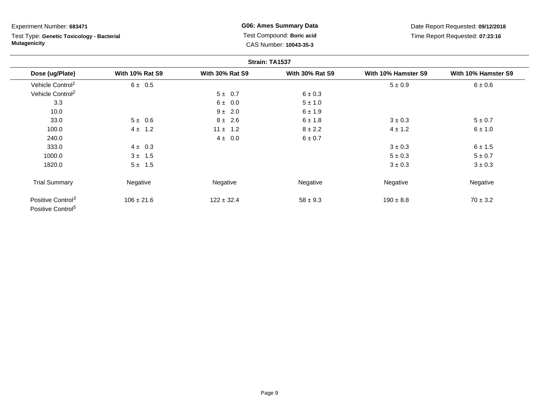# Test Type: **Genetic Toxicology - Bacterial Mutagenicity**

**G06: Ames Summary Data** Test Compound: **Boric acid**CAS Number: **10043-35-3**

|                                                                |                        |                        | Strain: TA1537         |                     |                     |
|----------------------------------------------------------------|------------------------|------------------------|------------------------|---------------------|---------------------|
| Dose (ug/Plate)                                                | <b>With 10% Rat S9</b> | <b>With 30% Rat S9</b> | <b>With 30% Rat S9</b> | With 10% Hamster S9 | With 10% Hamster S9 |
| Vehicle Control <sup>1</sup>                                   | $6 \pm 0.5$            |                        |                        | $5 \pm 0.9$         | 6 ± 0.6             |
| Vehicle Control <sup>2</sup>                                   |                        | 5 ± 0.7                | $6 \pm 0.3$            |                     |                     |
| 3.3                                                            |                        | 6 ± 0.0                | $5 \pm 1.0$            |                     |                     |
| 10.0                                                           |                        | $9 \pm 2.0$            | 6 ± 1.9                |                     |                     |
| 33.0                                                           | $5 \pm 0.6$            | $8 \pm 2.6$            | $6 \pm 1.8$            | $3 \pm 0.3$         | $5 \pm 0.7$         |
| 100.0                                                          | $4 \pm 1.2$            | $11 \pm 1.2$           | $8 \pm 2.2$            | $4 \pm 1.2$         | 6 ± 1.0             |
| 240.0                                                          |                        | $4 \pm 0.0$            | 6 ± 0.7                |                     |                     |
| 333.0                                                          | $4 \pm 0.3$            |                        |                        | $3 \pm 0.3$         | 6 ± 1.5             |
| 1000.0                                                         | $3 \pm 1.5$            |                        |                        | $5 \pm 0.3$         | $5 \pm 0.7$         |
| 1820.0                                                         | $5 \pm 1.5$            |                        |                        | $3 \pm 0.3$         | $3 \pm 0.3$         |
| <b>Trial Summary</b>                                           | Negative               | Negative               | Negative               | Negative            | Negative            |
| Positive Control <sup>3</sup><br>Positive Control <sup>5</sup> | $106 \pm 21.6$         | $122 \pm 32.4$         | $58 \pm 9.3$           | $190 \pm 8.8$       | $70 \pm 3.2$        |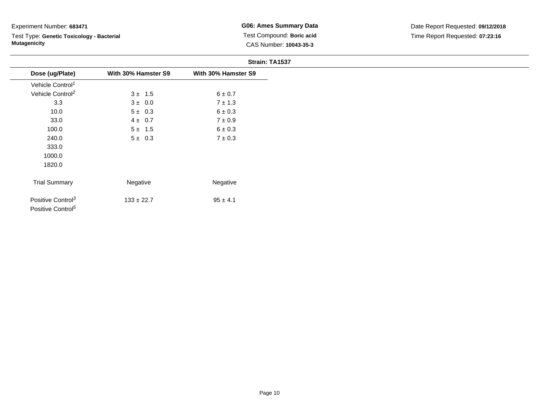Test Type: **Genetic Toxicology - Bacterial Mutagenicity**

**G06: Ames Summary Data** Test Compound: **Boric acid**CAS Number: **10043-35-3**

|                                                                |                     | Strain: TA1537      |
|----------------------------------------------------------------|---------------------|---------------------|
| Dose (ug/Plate)                                                | With 30% Hamster S9 | With 30% Hamster S9 |
| Vehicle Control <sup>1</sup>                                   |                     |                     |
| Vehicle Control <sup>2</sup>                                   | $3 \pm 1.5$         | $6 \pm 0.7$         |
| 3.3                                                            | $3 \pm 0.0$         | $7 \pm 1.3$         |
| 10.0                                                           | $5 \pm 0.3$         | $6 \pm 0.3$         |
| 33.0                                                           | $4 \pm 0.7$         | $7\pm0.9$           |
| 100.0                                                          | $5 \pm 1.5$         | $6 \pm 0.3$         |
| 240.0                                                          | $5 \pm 0.3$         | $7\pm0.3$           |
| 333.0                                                          |                     |                     |
| 1000.0                                                         |                     |                     |
| 1820.0                                                         |                     |                     |
| <b>Trial Summary</b>                                           | Negative            | Negative            |
| Positive Control <sup>3</sup><br>Positive Control <sup>5</sup> | $133 \pm 22.7$      | $95 \pm 4.1$        |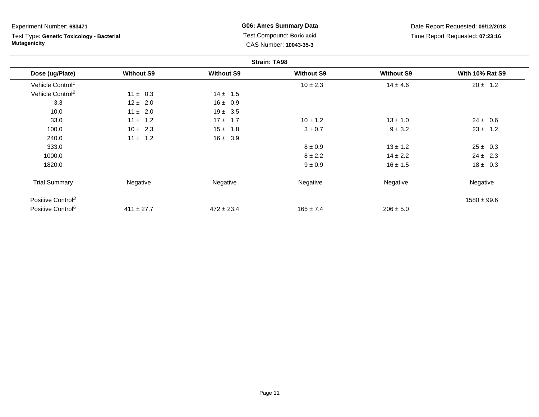Test Type: **Genetic Toxicology - Bacterial Mutagenicity**

**G06: Ames Summary Data** Test Compound: **Boric acid**CAS Number: **10043-35-3**

|                               |                   |                   | <b>Strain: TA98</b> |                   |                        |
|-------------------------------|-------------------|-------------------|---------------------|-------------------|------------------------|
| Dose (ug/Plate)               | <b>Without S9</b> | <b>Without S9</b> | <b>Without S9</b>   | <b>Without S9</b> | <b>With 10% Rat S9</b> |
| Vehicle Control <sup>1</sup>  |                   |                   | $10 \pm 2.3$        | $14 \pm 4.6$      | $20 \pm 1.2$           |
| Vehicle Control <sup>2</sup>  | $11 \pm 0.3$      | $14 \pm 1.5$      |                     |                   |                        |
| 3.3                           | $12 \pm 2.0$      | $16 \pm 0.9$      |                     |                   |                        |
| 10.0                          | $11 \pm 2.0$      | $19 \pm 3.5$      |                     |                   |                        |
| 33.0                          | $11 \pm 1.2$      | $17 + 1.7$        | $10 \pm 1.2$        | $13 \pm 1.0$      | $24 \pm 0.6$           |
| 100.0                         | $10 \pm 2.3$      | $15 \pm 1.8$      | $3 \pm 0.7$         | $9 \pm 3.2$       | $23 \pm 1.2$           |
| 240.0                         | $11 \pm 1.2$      | $16 \pm 3.9$      |                     |                   |                        |
| 333.0                         |                   |                   | $8 \pm 0.9$         | $13 \pm 1.2$      | $25 \pm 0.3$           |
| 1000.0                        |                   |                   | $8 \pm 2.2$         | $14 \pm 2.2$      | $24 \pm 2.3$           |
| 1820.0                        |                   |                   | $9 \pm 0.9$         | $16 \pm 1.5$      | $18 \pm 0.3$           |
| <b>Trial Summary</b>          | Negative          | Negative          | Negative            | Negative          | Negative               |
| Positive Control <sup>3</sup> |                   |                   |                     |                   | $1580 \pm 99.6$        |
| Positive Control <sup>6</sup> | $411 \pm 27.7$    | $472 \pm 23.4$    | $165 \pm 7.4$       | $206 \pm 5.0$     |                        |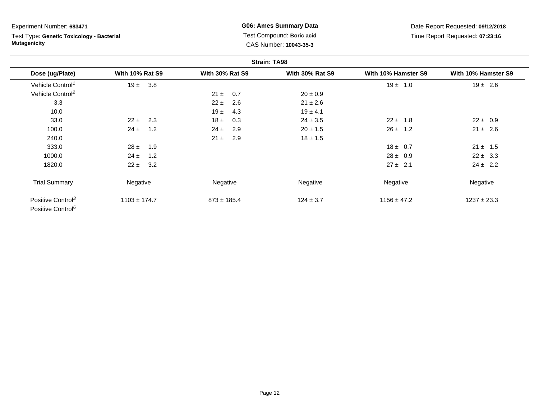# Test Type: **Genetic Toxicology - Bacterial Mutagenicity**

**G06: Ames Summary Data** Test Compound: **Boric acid**CAS Number: **10043-35-3**

|                                                                |                        |                        | <b>Strain: TA98</b>    |                     |                     |
|----------------------------------------------------------------|------------------------|------------------------|------------------------|---------------------|---------------------|
| Dose (ug/Plate)                                                | <b>With 10% Rat S9</b> | <b>With 30% Rat S9</b> | <b>With 30% Rat S9</b> | With 10% Hamster S9 | With 10% Hamster S9 |
| Vehicle Control <sup>1</sup>                                   | $19 \pm 3.8$           |                        |                        | $19 \pm 1.0$        | $19 \pm 2.6$        |
| Vehicle Control <sup>2</sup>                                   |                        | $21 \pm$<br>0.7        | $20 \pm 0.9$           |                     |                     |
| 3.3                                                            |                        | $22 \pm$<br>2.6        | $21 \pm 2.6$           |                     |                     |
| 10.0                                                           |                        | 19 ±<br>4.3            | $19 \pm 4.1$           |                     |                     |
| 33.0                                                           | $22 \pm 2.3$           | $18 \pm$<br>0.3        | $24 \pm 3.5$           | $22 \pm 1.8$        | $22 \pm 0.9$        |
| 100.0                                                          | $24 \pm$<br>1.2        | $24 \pm$<br>2.9        | $20 \pm 1.5$           | $26 \pm 1.2$        | $21 \pm 2.6$        |
| 240.0                                                          |                        | 2.9<br>$21 \pm$        | $18 \pm 1.5$           |                     |                     |
| 333.0                                                          | $28 \pm 1.9$           |                        |                        | $18 \pm 0.7$        | $21 \pm 1.5$        |
| 1000.0                                                         | $24 \pm$<br>1.2        |                        |                        | $28 \pm 0.9$        | $22 \pm 3.3$        |
| 1820.0                                                         | 3.2<br>$22 \pm$        |                        |                        | $27 \pm 2.1$        | $24 \pm 2.2$        |
| <b>Trial Summary</b>                                           | Negative               | Negative               | Negative               | Negative            | Negative            |
| Positive Control <sup>3</sup><br>Positive Control <sup>6</sup> | $1103 \pm 174.7$       | $873 \pm 185.4$        | $124 \pm 3.7$          | $1156 \pm 47.2$     | $1237 \pm 23.3$     |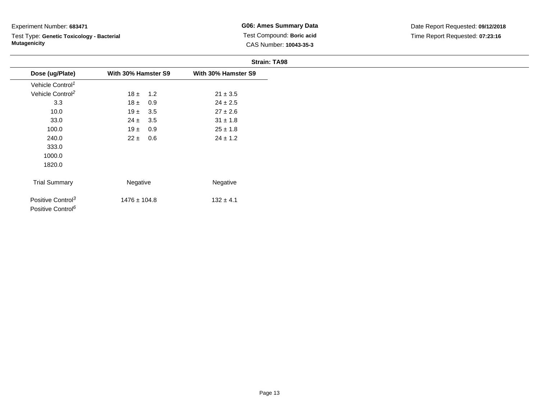Test Type: **Genetic Toxicology - Bacterial Mutagenicity**

**G06: Ames Summary Data** Test Compound: **Boric acid**CAS Number: **10043-35-3**

|                                                                |                     | <b>Strain: TA98</b> |
|----------------------------------------------------------------|---------------------|---------------------|
| Dose (ug/Plate)                                                | With 30% Hamster S9 | With 30% Hamster S9 |
| Vehicle Control <sup>1</sup>                                   |                     |                     |
| Vehicle Control <sup>2</sup>                                   | $18 \pm 1.2$        | $21 \pm 3.5$        |
| 3.3                                                            | $18 \pm 0.9$        | $24 \pm 2.5$        |
| 10.0                                                           | $19 \pm 3.5$        | $27 \pm 2.6$        |
| 33.0                                                           | $24 \pm 3.5$        | $31 \pm 1.8$        |
| 100.0                                                          | $19 \pm 0.9$        | $25 \pm 1.8$        |
| 240.0                                                          | $22 \pm 0.6$        | $24 \pm 1.2$        |
| 333.0                                                          |                     |                     |
| 1000.0                                                         |                     |                     |
| 1820.0                                                         |                     |                     |
| <b>Trial Summary</b>                                           | Negative            | Negative            |
| Positive Control <sup>3</sup><br>Positive Control <sup>6</sup> | $1476 \pm 104.8$    | $132 \pm 4.1$       |